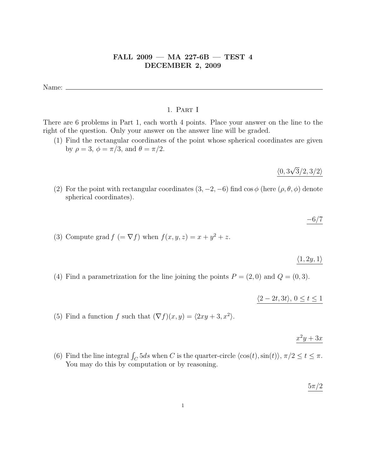# FALL 2009 — MA 227-6B — TEST 4 DECEMBER 2, 2009

Name:

## 1. Part I

There are 6 problems in Part 1, each worth 4 points. Place your answer on the line to the right of the question. Only your answer on the answer line will be graded.

(1) Find the rectangular coordinates of the point whose spherical coordinates are given by  $\rho = 3$ ,  $\phi = \pi/3$ , and  $\theta = \pi/2$ .

> $\langle 0, 3$ √  $3/2, 3/2$

- (2) For the point with rectangular coordinates  $(3, -2, -6)$  find  $\cos \phi$  (here  $(\rho, \theta, \phi)$  denote spherical coordinates).
- (3) Compute grad  $f (= \nabla f)$  when  $f(x, y, z) = x + y^2 + z$ .

 $\langle 1, 2y, 1\rangle$ 

 $-6/7$ 

(4) Find a parametrization for the line joining the points  $P = (2,0)$  and  $Q = (0,3)$ .

 $\langle 2 - 2t, 3t \rangle, 0 \le t \le 1$ 

(5) Find a function f such that  $(\nabla f)(x, y) = \langle 2xy + 3, x^2 \rangle$ .

# $x^2y+3x$

(6) Find the line integral  $\int_C 5ds$  when C is the quarter-circle  $\langle \cos(t), \sin(t) \rangle$ ,  $\pi/2 \le t \le \pi$ . You may do this by computation or by reasoning.

 $5\pi/2$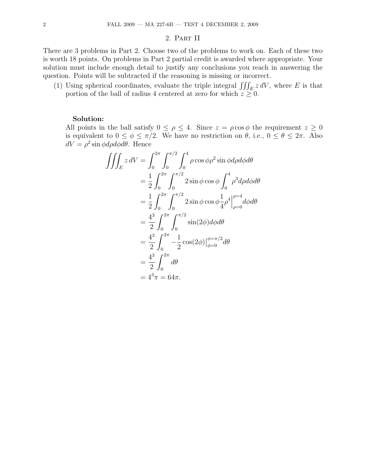#### 2. Part II

There are 3 problems in Part 2. Choose two of the problems to work on. Each of these two is worth 18 points. On problems in Part 2 partial credit is awarded where appropriate. Your solution must include enough detail to justify any conclusions you reach in answering the question. Points will be subtracted if the reasoning is missing or incorrect.

(1) Using spherical coordinates, evaluate the triple integral  $\iiint_E z dV$ , where E is that portion of the ball of radius 4 centered at zero for which  $z \geq 0$ .

## Solution:

All points in the ball satisfy  $0 \leq \rho \leq 4$ . Since  $z = \rho \cos \phi$  the requirement  $z \geq 0$ is equivalent to  $0 \le \phi \le \pi/2$ . We have no restriction on  $\theta$ , i.e.,  $0 \le \theta \le 2\pi$ . Also  $dV = \rho^2 \sin \phi d\rho d\phi d\theta$ . Hence

$$
\iiint_E z \,dV = \int_0^{2\pi} \int_0^{\pi/2} \int_0^4 \rho \cos \phi \rho^2 \sin \phi d\rho d\phi d\theta
$$
  
=  $\frac{1}{2} \int_0^{2\pi} \int_0^{\pi/2} 2 \sin \phi \cos \phi \int_0^4 \rho^3 d\rho d\phi d\theta$   
=  $\frac{1}{2} \int_0^{2\pi} \int_0^{\pi/2} 2 \sin \phi \cos \phi \frac{1}{4} \rho^4 \Big|_{\rho=0}^{\rho=4} d\phi d\theta$   
=  $\frac{4^3}{2} \int_0^{2\pi} \int_0^{\pi/2} \sin(2\phi) d\phi d\theta$   
=  $\frac{4^3}{2} \int_0^{2\pi} -\frac{1}{2} \cos(2\phi) \Big|_{\phi=0}^{\phi=\pi/2} d\theta$   
=  $\frac{4^3}{2} \int_0^{2\pi} d\theta$   
=  $4^3 \pi = 64\pi$ .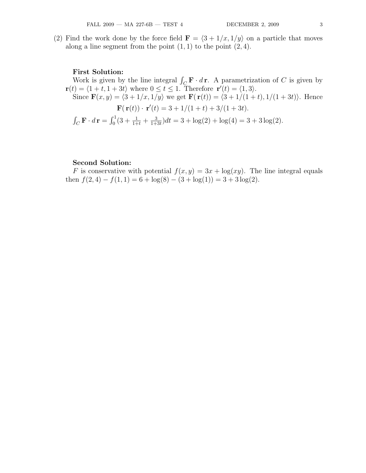(2) Find the work done by the force field  $\mathbf{F} = \langle 3 + 1/x, 1/y \rangle$  on a particle that moves along a line segment from the point  $(1, 1)$  to the point  $(2, 4)$ .

#### First Solution:

Work is given by the line integral  $\int_C \mathbf{F} \cdot d\mathbf{r}$ . A parametrization of C is given by  $\mathbf{r}(t) = \langle 1 + t, 1 + 3t \rangle$  where  $0 \le t \le 1$ . Therefore  $\mathbf{r}'(t) = \langle 1, 3 \rangle$ . Since  $\mathbf{F}(x, y) = \langle 3 + 1/x, 1/y \rangle$  we get  $\mathbf{F}(\mathbf{r}(t)) = \langle 3 + 1/(1 + t), 1/(1 + 3t) \rangle$ . Hence  $\mathbf{F}(\mathbf{r}(t)) \cdot \mathbf{r}'(t) = 3 + 1/(1+t) + 3/(1+3t).$  $\int_C \mathbf{F} \cdot d\mathbf{r} = \int_0^1 (3 + \frac{1}{1+t} + \frac{3}{1+t})$  $\frac{3}{1+3t}$ )dt = 3 + log(2) + log(4) = 3 + 3 log(2).

### Second Solution:

F is conservative with potential  $f(x, y) = 3x + \log(xy)$ . The line integral equals then  $f(2, 4) - f(1, 1) = 6 + \log(8) - (3 + \log(1)) = 3 + 3 \log(2)$ .